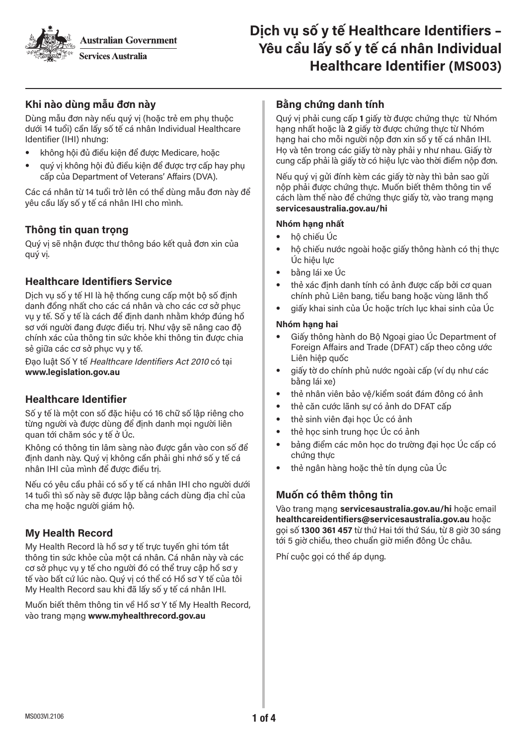**Australian Government** 



# **Khi nào dùng mẫu đơn này**

Dùng mẫu đơn này nếu quý vị (hoặc trẻ em phụ thuộc dưới 14 tuổi) cần lấy số tế cá nhân Individual Healthcare Identifier (IHI) nhưng:

- không hôi đủ điều kiên để được Medicare, hoặc
- quý vị không hội đủ điều kiện để được trợ cấp hay phụ cấp của Department of Veterans' Affairs (DVA).

Các cá nhân từ 14 tuổi trở lên có thể dùng mẫu đơn này để yêu cầu lấy số y tế cá nhân IHI cho mình.

# **Thông tin quan trọng**

Quý vị sẽ nhận được thư thông báo kết quả đơn xin của quý vị.

## **Healthcare Identifiers Service**

Dịch vụ số y tế HI là hệ thống cung cấp một bộ số định danh đồng nhất cho các cá nhân và cho các cơ sở phục vụ y tế. Số y tế là cách để định danh nhằm khớp đúng hồ sơ với người đang được điều trị. Như vậy sẽ nâng cao độ chính xác của thông tin sức khỏe khi thông tin được chia sẻ giữa các cơ sở phục vụ y tế.

Đạo luật Số Y tế Healthcare Identifiers Act 2010 có tại **www.legislation.gov.au**

# **Healthcare Identifier**

Số y tế là một con số đặc hiệu có 16 chữ số lập riêng cho từng người và được dùng để định danh mọi người liên quan tới chăm sóc y tế ở Úc.

Không có thông tin lâm sàng nào được gắn vào con số để định danh này. Quý vị không cần phải ghi nhớ số y tế cá nhân IHI của mình để được điều trị.

Nếu có yêu cầu phải có số y tế cá nhân IHI cho người dưới 14 tuổi thì số này sẽ được lập bằng cách dùng địa chỉ của cha mẹ hoặc người giám hộ.

# **My Health Record**

My Health Record là hồ sơ y tế trực tuyến ghi tóm tắt thông tin sức khỏe của một cá nhân. Cá nhân này và các cơ sở phục vụ y tế cho người đó có thể truy cập hồ sơ y tế vào bất cứ lúc nào. Quý vị có thể có Hồ sơ Y tế của tôi My Health Record sau khi đã lấy số y tế cá nhân IHI.

Muốn biết thêm thông tin về Hồ sơ Y tế My Health Record, vào trang mạng **www.myhealthrecord.gov.au**

## **Bằng chứng danh tính**

Quý vị phải cung cấp **1** giấy tờ được chứng thực từ Nhóm hạng nhất hoặc là **2** giấy tờ được chứng thực từ Nhóm hạng hai cho mỗi người nộp đơn xin số y tế cá nhân IHI. Họ và tên trong các giấy tờ này phải y như nhau. Giấy tờ cung cấp phải là giấy tờ có hiệu lực vào thời điểm nộp đơn.

Nếu quý vị gửi đính kèm các giấy tờ này thì bản sao gửi nộp phải được chứng thực. Muốn biết thêm thông tin về cách làm thế nào để chứng thực giấy tờ, vào trang mạng **servicesaustralia.gov.au/hi** 

#### **Nhóm hạng nhất**

- hộ chiếu Úc
- hộ chiếu nước ngoài hoặc giấy thông hành có thị thực Úc hiệu lực
- bằng lái xe Úc
- thẻ xác định danh tính có ảnh được cấp bởi cơ quan chính phủ Liên bang, tiểu bang hoặc vùng lãnh thổ
- giấy khai sinh của Úc hoặc trích lục khai sinh của Úc

#### **Nhóm hạng hai**

- Giấy thông hành do Bộ Ngoại giao Úc Department of Foreign Affairs and Trade (DFAT) cấp theo công ước Liên hiệp quốc
- giấy tờ do chính phủ nước ngoài cấp (ví dụ như các bằng lái xe)
- thẻ nhân viên bảo vệ/kiểm soát đám đông có ảnh
- thẻ căn cước lãnh sư có ảnh do DFAT cấp
- thẻ sinh viên đại học Úc có ảnh
- thẻ học sinh trung học Úc có ảnh
- bảng điểm các môn học do trường đại học Úc cấp có chứng thực
- thẻ ngân hàng hoặc thẻ tín dụng của Úc

### **Muốn có thêm thông tin**

Vào trang mạng servicesaustralia.gov.au/hi hoặc email **healthcareidentifiers@servicesaustralia.gov.au** hoặc gọi số **1300 361 457** từ thứ Hai tới thứ Sáu, từ 8 giờ 30 sáng tới 5 giờ chiều, theo chuẩn giờ miền đông Úc châu.

Phí cuộc gọi có thể áp dụng.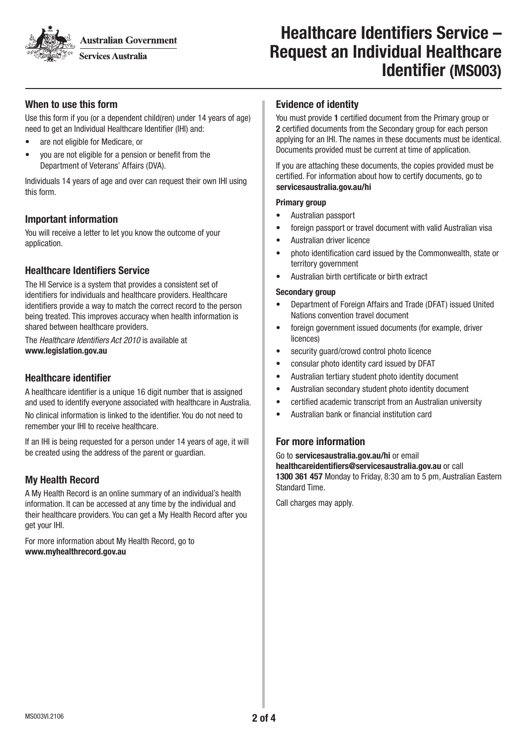**Australian Government** 

**Services Australia** 

# Healthcare Identifiers Service – Request an Individual Healthcare Identifier (MS003)

# When to use this form

Use this form if you (or a dependent child(ren) under 14 years of age) need to get an Individual Healthcare Identifier (IHI) and:

- are not eligible for Medicare, or
- you are not eligible for a pension or benefit from the Department of Veterans' Affairs (DVA).

Individuals 14 years of age and over can request their own IHI using this form.

### Important information

You will receive a letter to let you know the outcome of your application.

## Healthcare Identifiers Service

The HI Service is a system that provides a consistent set of identifiers for individuals and healthcare providers. Healthcare identifiers provide a way to match the correct record to the person being treated. This improves accuracy when health information is shared between healthcare providers.

The Healthcare Identifiers Act 2010 is available at www.legislation.gov.au

## Healthcare identifier

A healthcare identifier is a unique 16 digit number that is assigned and used to identify everyone associated with healthcare in Australia. No clinical information is linked to the identifier. You do not need to remember your IHI to receive healthcare.

If an IHI is being requested for a person under 14 years of age, it will be created using the address of the parent or guardian.

# My Health Record

A My Health Record is an online summary of an individual's health information. It can be accessed at any time by the individual and their healthcare providers. You can get a My Health Record after you get your IHI.

For more information about My Health Record, go to www.myhealthrecord.gov.au

#### Evidence of identity

You must provide 1 certified document from the Primary group or 2 certified documents from the Secondary group for each person applying for an IHI. The names in these documents must be identical. Documents provided must be current at time of application.

If you are attaching these documents, the copies provided must be certified. For information about how to certify documents, go to servicesaustralia.gov.au/hi

#### Primary group

- Australian passport
- foreign passport or travel document with valid Australian visa
- Australian driver licence
- photo identification card issued by the Commonwealth, state or territory government
- Australian birth certificate or birth extract

#### Secondary group

- Department of Foreign Affairs and Trade (DFAT) issued United Nations convention travel document
- foreign government issued documents (for example, driver licences)
- security guard/crowd control photo licence
- consular photo identity card issued by DFAT
- Australian tertiary student photo identity document
- Australian secondary student photo identity document
- certified academic transcript from an Australian university
- Australian bank or financial institution card

### For more information

Go to servicesaustralia.gov.au/hi or email healthcareidentifiers@servicesaustralia.gov.au or call 1300 361 457 Monday to Friday, 8:30 am to 5 pm, Australian Eastern Standard Time.

Call charges may apply.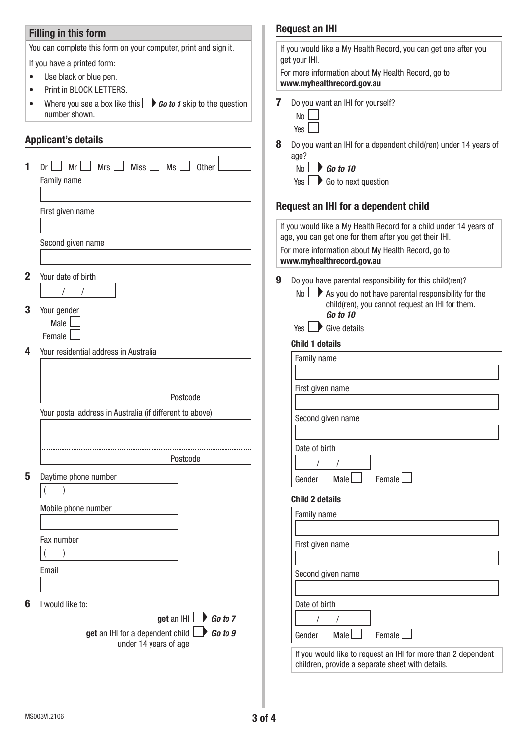# Filling in this form

You can complete this form on your computer, print and sign it.

If you have a printed form:

- Use black or blue pen.
- Print in BLOCK LETTERS.
- Where you see a box like this **Go to 1** skip to the question number shown.

## Applicant's details

|              |                                                                  | U | DU yuu walii al            |
|--------------|------------------------------------------------------------------|---|----------------------------|
|              | $\Box$ Mrs $\Box$ Miss $\Box$ Ms $\Box$<br>$Dr \Box Mr$<br>Other |   | age?<br>No<br>Go t         |
|              | Family name                                                      |   | Go t<br>Yes                |
|              |                                                                  |   |                            |
|              | First given name                                                 |   | <b>Request an IHI</b>      |
|              |                                                                  |   | If you would like a        |
|              |                                                                  |   | age, you can get o         |
|              | Second given name                                                |   | For more informat          |
|              |                                                                  |   | www.myhealthre             |
| $\mathbf{2}$ | Your date of birth                                               | 9 | Do you have pa             |
|              | $\sqrt{2}$<br>$\prime$                                           |   | No<br>$\mathbf{P}$<br>As y |
|              |                                                                  |   | chilo                      |
| 3            | Your gender<br>Male                                              |   | Go t                       |
|              | Female                                                           |   | Yes<br>Give                |
|              |                                                                  |   | <b>Child 1 details</b>     |
| 4            | Your residential address in Australia                            |   | Family name                |
|              |                                                                  |   |                            |
|              |                                                                  |   | First given na             |
|              | Postcode                                                         |   |                            |
|              | Your postal address in Australia (if different to above)         |   | Second given               |
|              |                                                                  |   |                            |
|              |                                                                  |   | Date of birth              |
|              | Postcode                                                         |   |                            |
|              |                                                                  |   |                            |
| 5            | Daytime phone number                                             |   | Gender<br>M                |
|              |                                                                  |   | <b>Child 2 details</b>     |
|              | Mobile phone number                                              |   | Family name                |
|              |                                                                  |   |                            |
|              | Fax number                                                       |   | First given na             |
|              | $\lambda$                                                        |   |                            |
|              | Email                                                            |   |                            |
|              |                                                                  |   | Second given               |
|              |                                                                  |   |                            |
| 6            | I would like to:                                                 |   | Date of birth              |
|              | get an IHI $\Box$ Go to 7                                        |   |                            |
|              | get an IHI for a dependent child<br>Go to 9                      |   | Gender<br>M                |
|              | under 14 years of age                                            |   | If you would li            |
|              |                                                                  |   |                            |

# Request an IHI

| For more information about My Health Record, go to<br>www.myhealthrecord.gov.au<br>7<br>Do you want an IHI for yourself?<br>No<br>Yes  <br>8<br>Do you want an IHI for a dependent child(ren) under 14 years of<br>age?<br>$N_0$ $\rightarrow$ Go to 10<br>$Yes \nightharpoonup Go$ to next question<br>Request an IHI for a dependent child<br>If you would like a My Health Record for a child under 14 years of<br>age, you can get one for them after you get their IHI.<br>For more information about My Health Record, go to<br>www.myhealthrecord.gov.au<br>9<br>Do you have parental responsibility for this child(ren)?<br>$\mathsf{No} \longrightarrow \mathsf{As}$ you do not have parental responsibility for the<br>child(ren), you cannot request an IHI for them.<br>Go to 10<br>$Yes \rightarrow Give details$<br><b>Child 1 details</b><br>Family name<br>First given name<br>Second given name<br>Date of birth<br>$\prime$<br>$\prime$<br>Male<br>Female<br>Gender<br><b>Child 2 details</b><br><b>Family name</b> | If you would like a My Health Record, you can get one after you |  |  |  |
|---------------------------------------------------------------------------------------------------------------------------------------------------------------------------------------------------------------------------------------------------------------------------------------------------------------------------------------------------------------------------------------------------------------------------------------------------------------------------------------------------------------------------------------------------------------------------------------------------------------------------------------------------------------------------------------------------------------------------------------------------------------------------------------------------------------------------------------------------------------------------------------------------------------------------------------------------------------------------------------------------------------------------------------|-----------------------------------------------------------------|--|--|--|
|                                                                                                                                                                                                                                                                                                                                                                                                                                                                                                                                                                                                                                                                                                                                                                                                                                                                                                                                                                                                                                       |                                                                 |  |  |  |
|                                                                                                                                                                                                                                                                                                                                                                                                                                                                                                                                                                                                                                                                                                                                                                                                                                                                                                                                                                                                                                       |                                                                 |  |  |  |
|                                                                                                                                                                                                                                                                                                                                                                                                                                                                                                                                                                                                                                                                                                                                                                                                                                                                                                                                                                                                                                       |                                                                 |  |  |  |
|                                                                                                                                                                                                                                                                                                                                                                                                                                                                                                                                                                                                                                                                                                                                                                                                                                                                                                                                                                                                                                       |                                                                 |  |  |  |
|                                                                                                                                                                                                                                                                                                                                                                                                                                                                                                                                                                                                                                                                                                                                                                                                                                                                                                                                                                                                                                       |                                                                 |  |  |  |
|                                                                                                                                                                                                                                                                                                                                                                                                                                                                                                                                                                                                                                                                                                                                                                                                                                                                                                                                                                                                                                       |                                                                 |  |  |  |
|                                                                                                                                                                                                                                                                                                                                                                                                                                                                                                                                                                                                                                                                                                                                                                                                                                                                                                                                                                                                                                       |                                                                 |  |  |  |
|                                                                                                                                                                                                                                                                                                                                                                                                                                                                                                                                                                                                                                                                                                                                                                                                                                                                                                                                                                                                                                       |                                                                 |  |  |  |
|                                                                                                                                                                                                                                                                                                                                                                                                                                                                                                                                                                                                                                                                                                                                                                                                                                                                                                                                                                                                                                       |                                                                 |  |  |  |
|                                                                                                                                                                                                                                                                                                                                                                                                                                                                                                                                                                                                                                                                                                                                                                                                                                                                                                                                                                                                                                       |                                                                 |  |  |  |
|                                                                                                                                                                                                                                                                                                                                                                                                                                                                                                                                                                                                                                                                                                                                                                                                                                                                                                                                                                                                                                       |                                                                 |  |  |  |
|                                                                                                                                                                                                                                                                                                                                                                                                                                                                                                                                                                                                                                                                                                                                                                                                                                                                                                                                                                                                                                       |                                                                 |  |  |  |
|                                                                                                                                                                                                                                                                                                                                                                                                                                                                                                                                                                                                                                                                                                                                                                                                                                                                                                                                                                                                                                       |                                                                 |  |  |  |
| First given name                                                                                                                                                                                                                                                                                                                                                                                                                                                                                                                                                                                                                                                                                                                                                                                                                                                                                                                                                                                                                      |                                                                 |  |  |  |
| Second given name                                                                                                                                                                                                                                                                                                                                                                                                                                                                                                                                                                                                                                                                                                                                                                                                                                                                                                                                                                                                                     |                                                                 |  |  |  |
| Date of birth<br>$\prime$                                                                                                                                                                                                                                                                                                                                                                                                                                                                                                                                                                                                                                                                                                                                                                                                                                                                                                                                                                                                             |                                                                 |  |  |  |
| Female<br>Male<br>Gender                                                                                                                                                                                                                                                                                                                                                                                                                                                                                                                                                                                                                                                                                                                                                                                                                                                                                                                                                                                                              |                                                                 |  |  |  |

If you would like to request an IHI for more than 2 dependent children, provide a separate sheet with details.